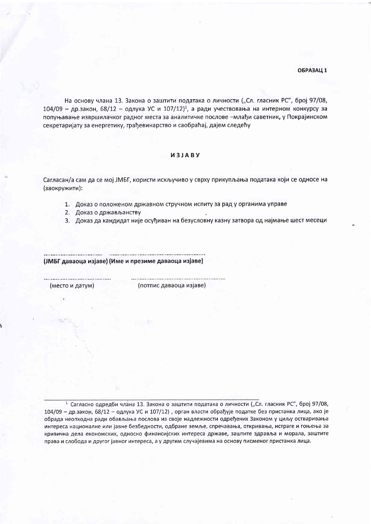## ОБРАЗАЦ 1

На основу члана 13. Закона о заштити података о личности ("Сл. гласник РС", број 97/08,  $104/09$  – др.закон, 68/12 – одлука УС и 107/12)<sup>1</sup>, а ради учествовања на интерном конкурсу за попуњавање извршилачког радног места за аналитичке послове -млађи саветник, у Покрајинском секретаријату за енергетику, грађевинарство и саобраћај, дајем следећу

# *M3JABY*

Сагласан/а сам да се мој ЈМБГ, користи искључиво у сврху прикупљања података који се односе на (заокружити):

1. Доказ о положеном државном стручном испиту за рад у органима управе

2. Доказ о држављанству

3. Доказ да кандидат није осуђиван на безусловну казну затвора од најмање шест месеци

(ЈМБГ даваоца изјаве) (Име и презиме даваоца изјаве)

(место и датум)

(потпис даваоца изјаве)

<sup>1</sup> Сагласно одредби члана 13. Закона о заштити података о личности ("Сл. гласник РС", број 97/08, 104/09 - др.закон, 68/12 - одлука УС и 107/12), орган власти обрађује податке без пристанка лица, ако је обрада неопходна ради обављања послова из своје надлежности одређених Законом у циљу остваривања интереса националне или јавне безбедности, одбране земље, спречавања, откривања, истраге и гоњења за кривична дела економских, односно финансијских интереса државе, заштите здравља и морала, заштите права и слобода и другог јавног интереса, а у другим случајевима на основу писменог пристанка лица.